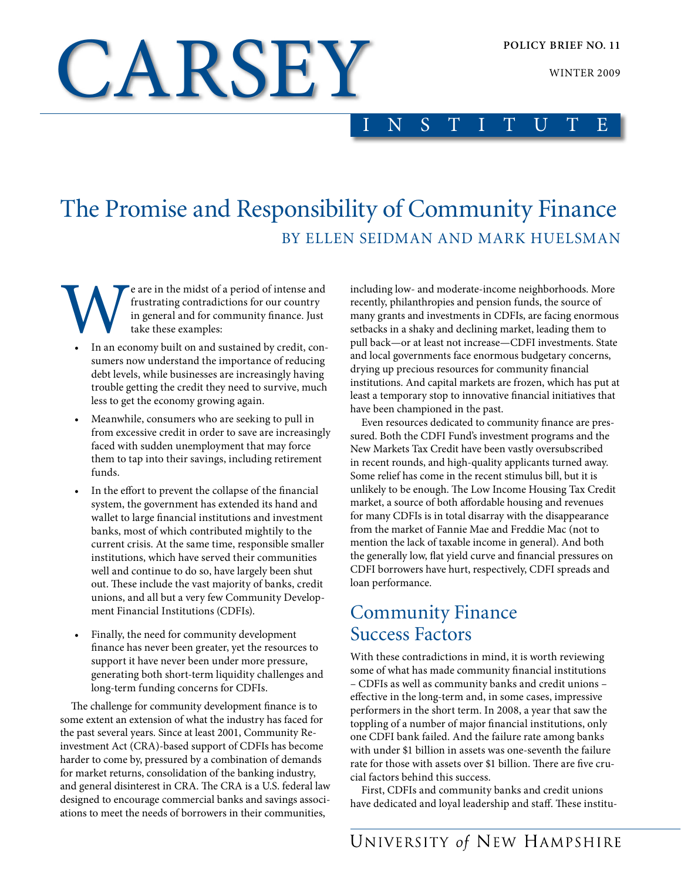WINTER 2009

# CARSEY

INSTITUTE

# The Promise and Responsibility of Community Finance By Ellen Seidman and Mark Huelsman

**Example 18 CON** E are in the midst of a period of intense and frustrating contradictions for our country in general and for community finance. Just take these examples:<br>
• In an economy built on and sustained by credit, c frustrating contradictions for our country in general and for community finance. Just take these examples:

- sumers now understand the importance of reducing debt levels, while businesses are increasingly having trouble getting the credit they need to survive, much less to get the economy growing again.
- Meanwhile, consumers who are seeking to pull in from excessive credit in order to save are increasingly faced with sudden unemployment that may force them to tap into their savings, including retirement funds.
- In the effort to prevent the collapse of the financial system, the government has extended its hand and wallet to large financial institutions and investment banks, most of which contributed mightily to the current crisis. At the same time, responsible smaller institutions, which have served their communities well and continue to do so, have largely been shut out. These include the vast majority of banks, credit unions, and all but a very few Community Development Financial Institutions (CDFIs).
- • Finally, the need for community development finance has never been greater, yet the resources to support it have never been under more pressure, generating both short-term liquidity challenges and long-term funding concerns for CDFIs.

The challenge for community development finance is to some extent an extension of what the industry has faced for the past several years. Since at least 2001, Community Reinvestment Act (CRA)-based support of CDFIs has become harder to come by, pressured by a combination of demands for market returns, consolidation of the banking industry, and general disinterest in CRA. The CRA is a U.S. federal law designed to encourage commercial banks and savings associations to meet the needs of borrowers in their communities,

including low- and moderate-income neighborhoods. More recently, philanthropies and pension funds, the source of many grants and investments in CDFIs, are facing enormous setbacks in a shaky and declining market, leading them to pull back—or at least not increase—CDFI investments. State and local governments face enormous budgetary concerns, drying up precious resources for community financial institutions. And capital markets are frozen, which has put at least a temporary stop to innovative financial initiatives that have been championed in the past.

Even resources dedicated to community finance are pressured. Both the CDFI Fund's investment programs and the New Markets Tax Credit have been vastly oversubscribed in recent rounds, and high-quality applicants turned away. Some relief has come in the recent stimulus bill, but it is unlikely to be enough. The Low Income Housing Tax Credit market, a source of both affordable housing and revenues for many CDFIs is in total disarray with the disappearance from the market of Fannie Mae and Freddie Mac (not to mention the lack of taxable income in general). And both the generally low, flat yield curve and financial pressures on CDFI borrowers have hurt, respectively, CDFI spreads and loan performance.

## Community Finance Success Factors

With these contradictions in mind, it is worth reviewing some of what has made community financial institutions – CDFIs as well as community banks and credit unions – effective in the long-term and, in some cases, impressive performers in the short term. In 2008, a year that saw the toppling of a number of major financial institutions, only one CDFI bank failed. And the failure rate among banks with under \$1 billion in assets was one-seventh the failure rate for those with assets over \$1 billion. There are five crucial factors behind this success.

First, CDFIs and community banks and credit unions have dedicated and loyal leadership and staff. These institu-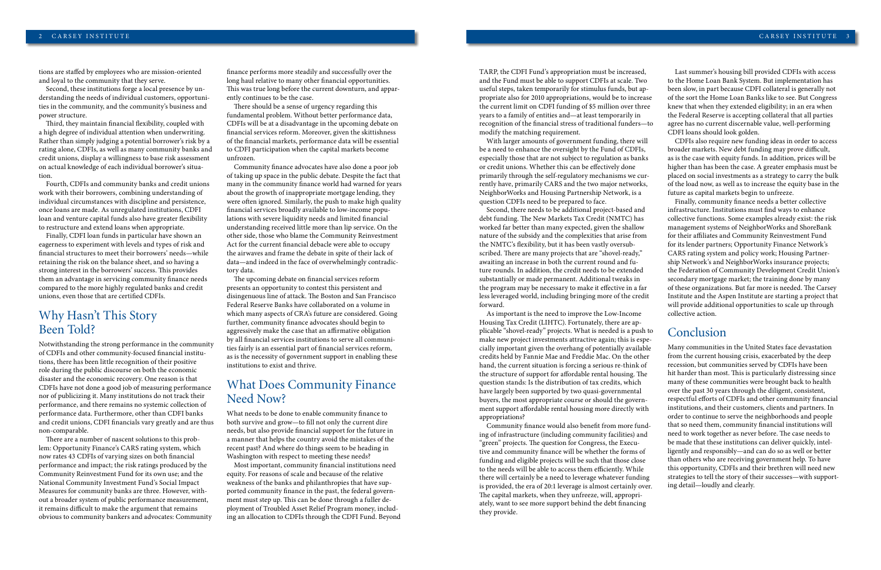#### 2 CARSEY INSTITUTE CARSEY INSTITUTE

tions are staffed by employees who are mission-oriented and loyal to the community that they serve.

Second, these institutions forge a local presence by understanding the needs of individual customers, opportunities in the community, and the community's business and power structure.

Third, they maintain financial flexibility, coupled with a high degree of individual attention when underwriting. Rather than simply judging a potential borrower's risk by a rating alone, CDFIs, as well as many community banks and credit unions, display a willingness to base risk assessment on actual knowledge of each individual borrower's situation.

Fourth, CDFIs and community banks and credit unions work with their borrowers, combining understanding of individual circumstances with discipline and persistence, once loans are made. As unregulated institutions, CDFI loan and venture capital funds also have greater flexibility to restructure and extend loans when appropriate.

Finally, CDFI loan funds in particular have shown an eagerness to experiment with levels and types of risk and financial structures to meet their borrowers' needs—while retaining the risk on the balance sheet, and so having a strong interest in the borrowers' success. This provides them an advantage in servicing community finance needs compared to the more highly regulated banks and credit unions, even those that are certified CDFIs.

### Why Hasn't This Story Been Told?

Notwithstanding the strong performance in the community of CDFIs and other community-focused financial institutions, there has been little recognition of their positive role during the public discourse on both the economic disaster and the economic recovery. One reason is that CDFIs have not done a good job of measuring performance nor of publicizing it. Many institutions do not track their performance, and there remains no systemic collection of performance data. Furthermore, other than CDFI banks and credit unions, CDFI financials vary greatly and are thus non-comparable.

There are a number of nascent solutions to this problem: Opportunity Finance's CARS rating system, which now rates 43 CDFIs of varying sizes on both financial performance and impact; the risk ratings produced by the Community Reinvestment Fund for its own use; and the National Community Investment Fund's Social Impact Measures for community banks are three. However, without a broader system of public performance measurement, it remains difficult to make the argument that remains obvious to community bankers and advocates: Community TARP, the CDFI Fund's appropriation must be increased, and the Fund must be able to support CDFIs at scale. Two useful steps, taken temporarily for stimulus funds, but appropriate also for 2010 appropriations, would be to increase the current limit on CDFI funding of \$5 million over three years to a family of entities and—at least temporarily in recognition of the financial stress of traditional funders—to modify the matching requirement.

With larger amounts of government funding, there will be a need to enhance the oversight by the Fund of CDFIs, especially those that are not subject to regulation as banks or credit unions. Whether this can be effectively done primarily through the self-regulatory mechanisms we currently have, primarily CARS and the two major networks, NeighborWorks and Housing Partnership Network, is a question CDFIs need to be prepared to face.

Second, there needs to be additional project-based and debt funding. The New Markets Tax Credit (NMTC) has worked far better than many expected, given the shallow nature of the subsidy and the complexities that arise from the NMTC's flexibility, but it has been vastly oversubscribed. There are many projects that are "shovel-ready," awaiting an increase in both the current round and future rounds. In addition, the credit needs to be extended substantially or made permanent. Additional tweaks in the program may be necessary to make it effective in a far less leveraged world, including bringing more of the credit forward.

As important is the need to improve the Low-Income Housing Tax Credit (LIHTC). Fortunately, there are applicable "shovel-ready" projects. What is needed is a push to make new project investments attractive again; this is especially important given the overhang of potentially available credits held by Fannie Mae and Freddie Mac. On the other hand, the current situation is forcing a serious re-think of the structure of support for affordable rental housing. The question stands: Is the distribution of tax credits, which have largely been supported by two quasi-governmental buyers, the most appropriate course or should the government support affordable rental housing more directly with appropriations?

Community finance would also benefit from more funding of infrastructure (including community facilities) and "green" projects. The question for Congress, the Executive and community finance will be whether the forms of funding and eligible projects will be such that those close to the needs will be able to access them efficiently. While there will certainly be a need to leverage whatever funding is provided, the era of 20:1 leverage is almost certainly over. The capital markets, when they unfreeze, will, appropriately, want to see more support behind the debt financing they provide.

finance performs more steadily and successfully over the long haul relative to many other financial opportunities. This was true long before the current downturn, and apparently continues to be the case.

There should be a sense of urgency regarding this fundamental problem. Without better performance data, CDFIs will be at a disadvantage in the upcoming debate on financial services reform. Moreover, given the skittishness of the financial markets, performance data will be essential to CDFI participation when the capital markets become unfrozen.

Community finance advocates have also done a poor job of taking up space in the public debate. Despite the fact that many in the community finance world had warned for years about the growth of inappropriate mortgage lending, they were often ignored. Similarly, the push to make high quality financial services broadly available to low-income populations with severe liquidity needs and limited financial understanding received little more than lip service. On the other side, those who blame the Community Reinvestment Act for the current financial debacle were able to occupy the airwaves and frame the debate in spite of their lack of data—and indeed in the face of overwhelmingly contradictory data.

The upcoming debate on financial services reform presents an opportunity to contest this persistent and disingenuous line of attack. The Boston and San Francisco Federal Reserve Banks have collaborated on a volume in which many aspects of CRA's future are considered. Going further, community finance advocates should begin to aggressively make the case that an affirmative obligation by all financial services institutions to serve all communities fairly is an essential part of financial services reform, as is the necessity of government support in enabling these institutions to exist and thrive.

### What Does Community Finance Need Now?

What needs to be done to enable community finance to both survive and grow—to fill not only the current dire needs, but also provide financial support for the future in a manner that helps the country avoid the mistakes of the recent past? And where do things seem to be heading in Washington with respect to meeting these needs?

Most important, community financial institutions need equity. For reasons of scale and because of the relative weakness of the banks and philanthropies that have supported community finance in the past, the federal government must step up. This can be done through a fuller deployment of Troubled Asset Relief Program money, including an allocation to CDFIs through the CDFI Fund. Beyond

Last summer's housing bill provided CDFIs with access to the Home Loan Bank System. But implementation has been slow, in part because CDFI collateral is generally not of the sort the Home Loan Banks like to see. But Congress knew that when they extended eligibility; in an era when the Federal Reserve is accepting collateral that all parties agree has no current discernable value, well-performing CDFI loans should look golden.

CDFIs also require new funding ideas in order to access broader markets. New debt funding may prove difficult, as is the case with equity funds. In addition, prices will be higher than has been the case. A greater emphasis must be placed on social investments as a strategy to carry the bulk of the load now, as well as to increase the equity base in the future as capital markets begin to unfreeze.

Finally, community finance needs a better collective infrastructure. Institutions must find ways to enhance collective functions. Some examples already exist: the risk management systems of NeighborWorks and ShoreBank for their affiliates and Community Reinvestment Fund for its lender partners; Opportunity Finance Network's CARS rating system and policy work; Housing Partnership Network's and NeighborWorks insurance projects; the Federation of Community Development Credit Union's secondary mortgage market; the training done by many of these organizations. But far more is needed. The Carsey Institute and the Aspen Institute are starting a project that will provide additional opportunities to scale up through collective action.

#### Conclusion

Many communities in the United States face devastation from the current housing crisis, exacerbated by the deep recession, but communities served by CDFIs have been hit harder than most. This is particularly distressing since many of these communities were brought back to health over the past 30 years through the diligent, consistent, respectful efforts of CDFIs and other community financial institutions, and their customers, clients and partners. In order to continue to serve the neighborhoods and people that so need them, community financial institutions will need to work together as never before. The case needs to be made that these institutions can deliver quickly, intelligently and responsibly—and can do so as well or better than others who are receiving government help. To have this opportunity, CDFIs and their brethren will need new strategies to tell the story of their successes—with supporting detail—loudly and clearly.